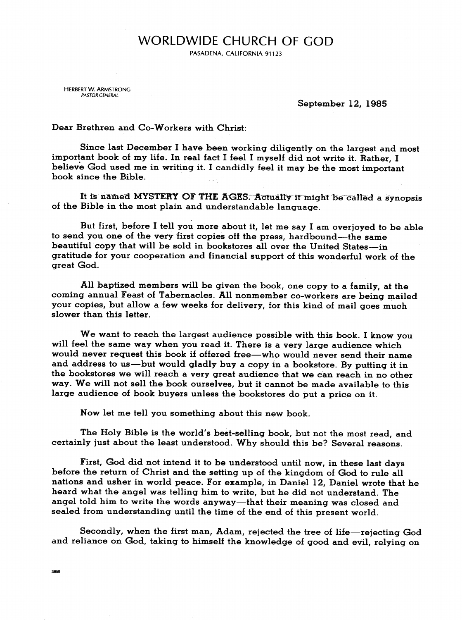## WORLDWIDE CHURCH OF GOD

PASADENA, CALIFORNIA 91123

HERBERT W. ARMSTRONG *PASTOR GENERAL* 

September 12, 1985

## Dear Brethren and Co-Workers with Christ:

Since last December I have been working diligently on the largest and most important book of my life. In real fact I feel I myself did not write it. Rather, I believe God used me in writing it. I candidly feel it may be the most important book since the Bible.

It is named MYSTERY OF THE AGES. Actually it might be called a synopsis of the Bible in the most plain and understandable language.

But first, before I tell you more about it, let me say I am overjoyed to be able to send you one of the very first copies off the press, hardbound-the same beautiful copy that will be sold in bookstores all over the United States—in gratitude for your cooperation and financial support of this wonderful work of the great God.

All baptized members will be given the book, one copy to a family, at the coming annual Feast of Tabernacles. All nonmember co-workers are being mailed your copies, but allow a few weeks for delivery, for this kind of mail goes much slower than this letter.

We want to reach the largest audience possible with this book. I know you will feel the same way when you read it. There is a very large audience which would never request this book if offered free-who would never send their name and address to us—but would gladly buy a copy in a bookstore. By putting it in the bookstores we will reach a very great audience that we can reach in no other way. We will not sell the book ourselves, but it cannot be made available to this large audience of book buyers unless the bookstores do put a price on it.

Now let me tell you something about this new book.

The Holy Bible is the world's best-selling book, but not the most read, and certainly just about the least understood. Why should this be? Several reasons.

First, God did not intend it to be understood until now, in these last days before the return of Christ and the setting up of the kingdom of God to rule all nations and usher in world peace. For example, in Daniel 12, Daniel wrote that he heard what the angel was telling him to write, but he did not understand. The angel told him to write the words anyway—that their meaning was closed and sealed from understanding until the time of the end of this present world.

Secondly, when the first man, Adam, rejected the tree of life-rejecting God and reliance on God, taking to himself the knowledge of good and evil, relying on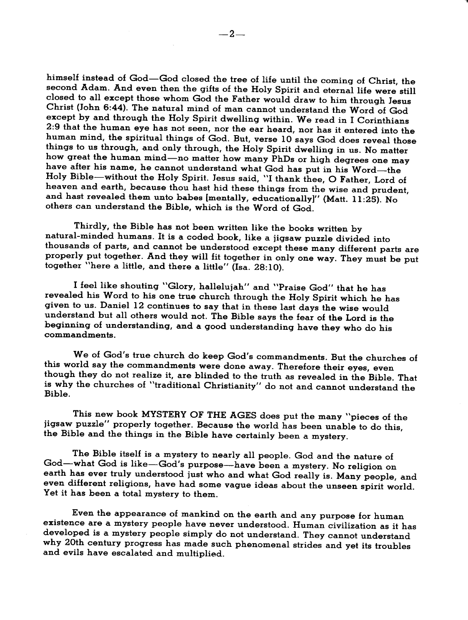himself instead of God-God closed the tree of life until the coming of Christ, the second Adam. And even then the gifts of the Holy Spirit and eternal life were still closed to all except those whom God the Father would draw to him through Jesus Christ (John 6:44). The natural mind of man cannot understand the Word of God except by and through the Holy Spirit dwelling within. We read in I Corinthians 2:9 that the human eye has not seen, nor the ear heard, nor has it entered into the human mind, the spiritual things of God. But, verse 10 says God does reveal those things to us through, and only through, the Holy Spirit dwelling in us. No matter how great the human mind-no matter how many PhDs or high degrees one may have after his name, he cannot understand what God has put in his Word-the Holy Bible-without the Holy Spirit. Jesus said, "I thank thee, O Father, Lord of heaven and earth, because thou hast hid these things from the wise and prudent, and hast revealed them unto babes [mentally, educationally]" (Matt. 11 :25). No others can understand the Bible, which is the Word of God.

Thirdly, the Bible has not been written like the books written by natural-minded humans. It is a coded book, like a jigsaw puzzle divided into thousands of parts, and cannot be understood except these many different parts are properly put together. And they will fit together in only one way. They must be put together "here a little, and there a little" (lsa. 28:10).

I feel like shouting "Glory, hallelujah" and "Praise God" that he has revealed his Word to his one true church through the Holy Spirit which he has given to us. Daniel 12 continues to say that in these last days the wise would understand but all others would not. The Bible says the fear of the Lord is the beginning of understanding, and a good understanding have they who do his commandments.

We of God's true church do keep God's commandments. But the churches of this world say the commandments were done away. Therefore their eyes, even though they do not realize it, are blinded to the truth as revealed in the Bible. That is why the churches of "traditional Christianity" do not and cannot understand the Bible.

This new book MYSTERY OF THE AGES does put the many "pieces of the jigsaw puzzle" properly together. Because the world has been unable to do this, the Bible and the things in the Bible have certainly been a mystery.

The Bible itself is a mystery to nearly all people. God and the nature of God-what God is like-God's purpose-have been a mystery. No religion on earth has ever truly understood just who and what God really is. Many people, and even different religions, have had some vague ideas about the unseen spirit world. Yet it has been a total mystery to them.

Even the appearance of mankind on the earth and any purpose for human existence are a mystery people have never understood. Human civilization as it has developed is a mystery people simply do not understand. They cannot understand why 20th century progress has made such phenomenal strides and yet its troubles and evils have escalated and multiplied.